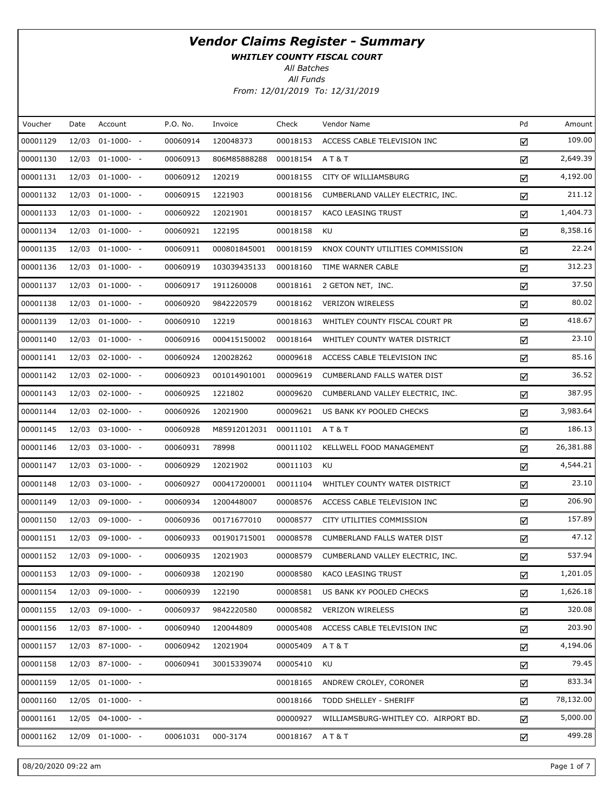WHITLEY COUNTY FISCAL COURT

All Batches

| Voucher  | Date  | Account          | P.O. No. | Invoice      | Check    | Vendor Name                          | Pd | Amount    |
|----------|-------|------------------|----------|--------------|----------|--------------------------------------|----|-----------|
| 00001129 | 12/03 | $01-1000-$       | 00060914 | 120048373    | 00018153 | ACCESS CABLE TELEVISION INC          | ☑  | 109.00    |
| 00001130 |       | 12/03 01-1000- - | 00060913 | 806M85888288 | 00018154 | <b>AT&amp;T</b>                      | ☑  | 2,649.39  |
| 00001131 |       | 12/03 01-1000- - | 00060912 | 120219       | 00018155 | CITY OF WILLIAMSBURG                 | ☑  | 4,192.00  |
| 00001132 |       | 12/03 01-1000- - | 00060915 | 1221903      | 00018156 | CUMBERLAND VALLEY ELECTRIC, INC.     | ☑  | 211.12    |
| 00001133 |       | 12/03 01-1000- - | 00060922 | 12021901     | 00018157 | KACO LEASING TRUST                   | ☑  | 1,404.73  |
| 00001134 |       | 12/03 01-1000- - | 00060921 | 122195       | 00018158 | KU                                   | ☑  | 8,358.16  |
| 00001135 |       | 12/03 01-1000- - | 00060911 | 000801845001 | 00018159 | KNOX COUNTY UTILITIES COMMISSION     | ☑  | 22.24     |
| 00001136 |       | 12/03 01-1000- - | 00060919 | 103039435133 | 00018160 | TIME WARNER CABLE                    | ☑  | 312.23    |
| 00001137 |       | 12/03 01-1000- - | 00060917 | 1911260008   | 00018161 | 2 GETON NET, INC.                    | ☑  | 37.50     |
| 00001138 |       | 12/03 01-1000- - | 00060920 | 9842220579   | 00018162 | <b>VERIZON WIRELESS</b>              | ☑  | 80.02     |
| 00001139 |       | 12/03 01-1000- - | 00060910 | 12219        | 00018163 | WHITLEY COUNTY FISCAL COURT PR       | ☑  | 418.67    |
| 00001140 |       | 12/03 01-1000- - | 00060916 | 000415150002 | 00018164 | WHITLEY COUNTY WATER DISTRICT        | ☑  | 23.10     |
| 00001141 |       | 12/03 02-1000- - | 00060924 | 120028262    | 00009618 | ACCESS CABLE TELEVISION INC          | ☑  | 85.16     |
| 00001142 |       | 12/03 02-1000- - | 00060923 | 001014901001 | 00009619 | CUMBERLAND FALLS WATER DIST          | ☑  | 36.52     |
| 00001143 |       | 12/03 02-1000- - | 00060925 | 1221802      | 00009620 | CUMBERLAND VALLEY ELECTRIC, INC.     | ☑  | 387.95    |
| 00001144 |       | 12/03 02-1000- - | 00060926 | 12021900     | 00009621 | US BANK KY POOLED CHECKS             | ☑  | 3,983.64  |
| 00001145 |       | 12/03 03-1000- - | 00060928 | M85912012031 | 00011101 | A T & T                              | ☑  | 186.13    |
| 00001146 |       | 12/03 03-1000- - | 00060931 | 78998        | 00011102 | KELLWELL FOOD MANAGEMENT             | ☑  | 26,381.88 |
| 00001147 |       | 12/03 03-1000- - | 00060929 | 12021902     | 00011103 | KU                                   | ☑  | 4,544.21  |
| 00001148 |       | 12/03 03-1000- - | 00060927 | 000417200001 | 00011104 | WHITLEY COUNTY WATER DISTRICT        | ☑  | 23.10     |
| 00001149 |       | 12/03 09-1000- - | 00060934 | 1200448007   | 00008576 | ACCESS CABLE TELEVISION INC          | ☑  | 206.90    |
| 00001150 |       | 12/03 09-1000- - | 00060936 | 00171677010  | 00008577 | CITY UTILITIES COMMISSION            | ☑  | 157.89    |
| 00001151 |       | 12/03 09-1000- - | 00060933 | 001901715001 | 00008578 | CUMBERLAND FALLS WATER DIST          | ☑  | 47.12     |
| 00001152 |       | 12/03 09-1000- - | 00060935 | 12021903     | 00008579 | CUMBERLAND VALLEY ELECTRIC, INC.     | ☑  | 537.94    |
| 00001153 |       | 12/03 09-1000- - | 00060938 | 1202190      | 00008580 | KACO LEASING TRUST                   | ☑  | 1,201.05  |
| 00001154 | 12/03 | $09-1000- -$     | 00060939 | 122190       | 00008581 | US BANK KY POOLED CHECKS             | ☑  | 1,626.18  |
| 00001155 |       | 12/03 09-1000- - | 00060937 | 9842220580   | 00008582 | <b>VERIZON WIRELESS</b>              | ☑  | 320.08    |
| 00001156 |       | 12/03 87-1000- - | 00060940 | 120044809    | 00005408 | ACCESS CABLE TELEVISION INC          | ☑  | 203.90    |
| 00001157 |       | 12/03 87-1000- - | 00060942 | 12021904     | 00005409 | A T & T                              | ☑  | 4,194.06  |
| 00001158 |       | 12/03 87-1000- - | 00060941 | 30015339074  | 00005410 | KU                                   | ☑  | 79.45     |
| 00001159 |       | 12/05 01-1000- - |          |              | 00018165 | ANDREW CROLEY, CORONER               | ☑  | 833.34    |
| 00001160 |       | 12/05 01-1000- - |          |              | 00018166 | TODD SHELLEY - SHERIFF               | ☑  | 78,132.00 |
| 00001161 |       | 12/05 04-1000- - |          |              | 00000927 | WILLIAMSBURG-WHITLEY CO. AIRPORT BD. | ☑  | 5,000.00  |
| 00001162 |       | 12/09 01-1000- - | 00061031 | 000-3174     | 00018167 | AT&T                                 | ☑  | 499.28    |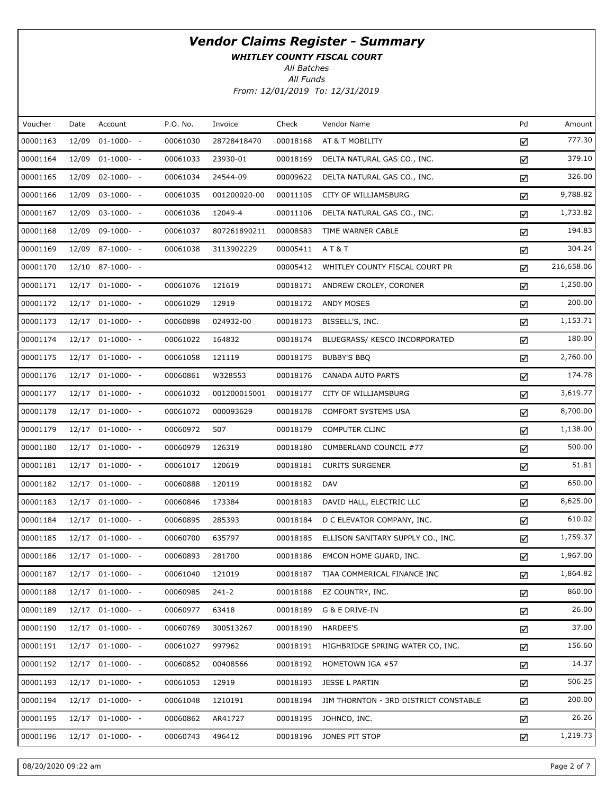WHITLEY COUNTY FISCAL COURT

All Batches

| Voucher  | Date  | Account            | P.O. No. | Invoice      | Check    | Vendor Name                           | Pd | Amount     |
|----------|-------|--------------------|----------|--------------|----------|---------------------------------------|----|------------|
| 00001163 | 12/09 | $01-1000-$         | 00061030 | 28728418470  | 00018168 | AT & T MOBILITY                       | ☑  | 777.30     |
| 00001164 |       | 12/09 01-1000- -   | 00061033 | 23930-01     | 00018169 | DELTA NATURAL GAS CO., INC.           | ☑  | 379.10     |
| 00001165 | 12/09 | $02 - 1000 - -$    | 00061034 | 24544-09     | 00009622 | DELTA NATURAL GAS CO., INC.           | ☑  | 326.00     |
| 00001166 |       | 12/09 03-1000- -   | 00061035 | 001200020-00 | 00011105 | CITY OF WILLIAMSBURG                  | ☑  | 9,788.82   |
| 00001167 |       | 12/09 03-1000- -   | 00061036 | 12049-4      | 00011106 | DELTA NATURAL GAS CO., INC.           | ☑  | 1,733.82   |
| 00001168 |       | 12/09 09-1000- -   | 00061037 | 807261890211 | 00008583 | TIME WARNER CABLE                     | ☑  | 194.83     |
| 00001169 |       | 12/09 87-1000- -   | 00061038 | 3113902229   | 00005411 | AT&T                                  | ☑  | 304.24     |
| 00001170 |       | 12/10 87-1000- -   |          |              | 00005412 | WHITLEY COUNTY FISCAL COURT PR        | ☑  | 216,658.06 |
| 00001171 |       | 12/17 01-1000- -   | 00061076 | 121619       | 00018171 | ANDREW CROLEY, CORONER                | ☑  | 1,250.00   |
| 00001172 |       | 12/17 01-1000- -   | 00061029 | 12919        | 00018172 | ANDY MOSES                            | ☑  | 200.00     |
| 00001173 |       | 12/17 01-1000- -   | 00060898 | 024932-00    | 00018173 | BISSELL'S, INC.                       | ☑  | 1,153.71   |
| 00001174 |       | $12/17$ 01-1000- - | 00061022 | 164832       | 00018174 | BLUEGRASS/ KESCO INCORPORATED         | ☑  | 180.00     |
| 00001175 |       | 12/17 01-1000- -   | 00061058 | 121119       | 00018175 | <b>BUBBY'S BBQ</b>                    | ☑  | 2,760.00   |
| 00001176 |       | 12/17 01-1000- -   | 00060861 | W328553      | 00018176 | CANADA AUTO PARTS                     | ☑  | 174.78     |
| 00001177 |       | 12/17 01-1000- -   | 00061032 | 001200015001 | 00018177 | <b>CITY OF WILLIAMSBURG</b>           | ☑  | 3,619.77   |
| 00001178 |       | $12/17$ 01-1000- - | 00061072 | 000093629    | 00018178 | COMFORT SYSTEMS USA                   | ☑  | 8,700.00   |
| 00001179 |       | 12/17 01-1000- -   | 00060972 | 507          | 00018179 | <b>COMPUTER CLINC</b>                 | ☑  | 1,138.00   |
| 00001180 |       | 12/17 01-1000- -   | 00060979 | 126319       | 00018180 | CUMBERLAND COUNCIL #77                | ☑  | 500.00     |
| 00001181 |       | 12/17 01-1000- -   | 00061017 | 120619       | 00018181 | <b>CURITS SURGENER</b>                | ☑  | 51.81      |
| 00001182 |       | 12/17 01-1000- -   | 00060888 | 120119       | 00018182 | DAV                                   | ☑  | 650.00     |
| 00001183 |       | 12/17 01-1000- -   | 00060846 | 173384       | 00018183 | DAVID HALL, ELECTRIC LLC              | ☑  | 8,625.00   |
| 00001184 |       | 12/17 01-1000- -   | 00060895 | 285393       | 00018184 | D C ELEVATOR COMPANY, INC.            | ☑  | 610.02     |
| 00001185 |       | 12/17 01-1000- -   | 00060700 | 635797       | 00018185 | ELLISON SANITARY SUPPLY CO., INC.     | ☑  | 1,759.37   |
| 00001186 |       | 12/17 01-1000- -   | 00060893 | 281700       | 00018186 | EMCON HOME GUARD, INC.                | ☑  | 1,967.00   |
| 00001187 |       | 12/17 01-1000- -   | 00061040 | 121019       | 00018187 | TIAA COMMERICAL FINANCE INC           | ☑  | 1,864.82   |
| 00001188 |       | 12/17 01-1000- -   | 00060985 | $241 - 2$    | 00018188 | EZ COUNTRY, INC.                      | ☑  | 860.00     |
| 00001189 |       | $12/17$ 01-1000- - | 00060977 | 63418        | 00018189 | G & E DRIVE-IN                        | ☑  | 26.00      |
| 00001190 |       | $12/17$ 01-1000- - | 00060769 | 300513267    | 00018190 | HARDEE'S                              | ☑  | 37.00      |
| 00001191 |       | $12/17$ 01-1000- - | 00061027 | 997962       | 00018191 | HIGHBRIDGE SPRING WATER CO, INC.      | ☑  | 156.60     |
| 00001192 |       | 12/17 01-1000- -   | 00060852 | 00408566     | 00018192 | HOMETOWN IGA #57                      | ☑  | 14.37      |
| 00001193 |       | $12/17$ 01-1000- - | 00061053 | 12919        | 00018193 | JESSE L PARTIN                        | ☑  | 506.25     |
| 00001194 |       | 12/17 01-1000- -   | 00061048 | 1210191      | 00018194 | JIM THORNTON - 3RD DISTRICT CONSTABLE | ☑  | 200.00     |
| 00001195 |       | $12/17$ 01-1000- - | 00060862 | AR41727      | 00018195 | JOHNCO, INC.                          | ☑  | 26.26      |
| 00001196 |       | 12/17 01-1000- -   | 00060743 | 496412       | 00018196 | JONES PIT STOP                        | ☑  | 1,219.73   |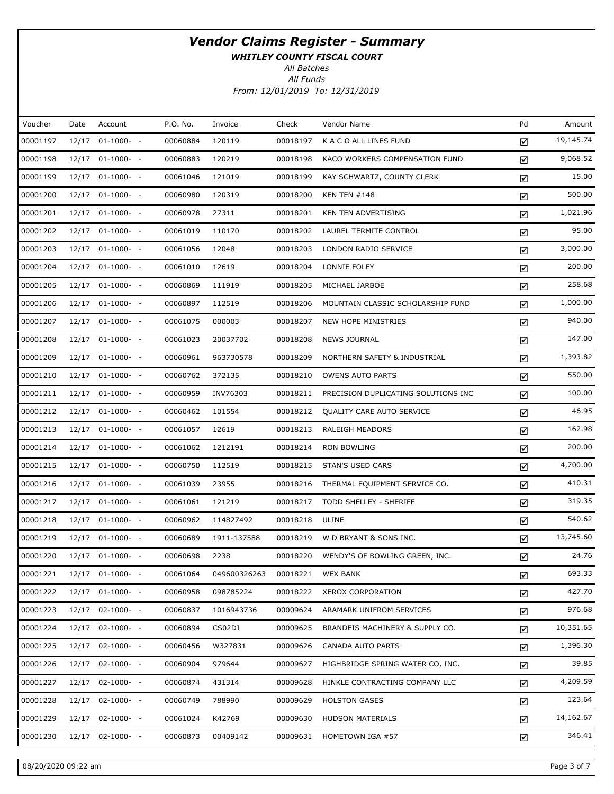WHITLEY COUNTY FISCAL COURT

All Batches

| Voucher  | Date  | Account            | P.O. No. | Invoice      | Check    | Vendor Name                         | Pd | Amount    |
|----------|-------|--------------------|----------|--------------|----------|-------------------------------------|----|-----------|
| 00001197 | 12/17 | $01-1000-$ -       | 00060884 | 120119       | 00018197 | K A C O ALL LINES FUND              | ☑  | 19,145.74 |
| 00001198 |       | 12/17 01-1000- -   | 00060883 | 120219       | 00018198 | KACO WORKERS COMPENSATION FUND      | ☑  | 9,068.52  |
| 00001199 |       | 12/17 01-1000- -   | 00061046 | 121019       | 00018199 | KAY SCHWARTZ, COUNTY CLERK          | ☑  | 15.00     |
| 00001200 |       | 12/17 01-1000- -   | 00060980 | 120319       | 00018200 | <b>KEN TEN #148</b>                 | ☑  | 500.00    |
| 00001201 |       | 12/17 01-1000- -   | 00060978 | 27311        | 00018201 | KEN TEN ADVERTISING                 | ☑  | 1,021.96  |
| 00001202 |       | 12/17 01-1000- -   | 00061019 | 110170       | 00018202 | LAUREL TERMITE CONTROL              | ☑  | 95.00     |
| 00001203 |       | 12/17 01-1000- -   | 00061056 | 12048        | 00018203 | LONDON RADIO SERVICE                | ☑  | 3,000.00  |
| 00001204 |       | 12/17 01-1000- -   | 00061010 | 12619        | 00018204 | LONNIE FOLEY                        | ☑  | 200.00    |
| 00001205 |       | 12/17 01-1000- -   | 00060869 | 111919       | 00018205 | MICHAEL JARBOE                      | ☑  | 258.68    |
| 00001206 |       | 12/17 01-1000- -   | 00060897 | 112519       | 00018206 | MOUNTAIN CLASSIC SCHOLARSHIP FUND   | ☑  | 1,000.00  |
| 00001207 |       | 12/17 01-1000- -   | 00061075 | 000003       | 00018207 | NEW HOPE MINISTRIES                 | ☑  | 940.00    |
| 00001208 |       | 12/17 01-1000- -   | 00061023 | 20037702     | 00018208 | <b>NEWS JOURNAL</b>                 | ☑  | 147.00    |
| 00001209 |       | 12/17 01-1000- -   | 00060961 | 963730578    | 00018209 | NORTHERN SAFETY & INDUSTRIAL        | ☑  | 1,393.82  |
| 00001210 |       | 12/17 01-1000- -   | 00060762 | 372135       | 00018210 | <b>OWENS AUTO PARTS</b>             | ☑  | 550.00    |
| 00001211 |       | 12/17 01-1000- -   | 00060959 | INV76303     | 00018211 | PRECISION DUPLICATING SOLUTIONS INC | ☑  | 100.00    |
| 00001212 |       | 12/17 01-1000- -   | 00060462 | 101554       | 00018212 | QUALITY CARE AUTO SERVICE           | ☑  | 46.95     |
| 00001213 |       | 12/17 01-1000- -   | 00061057 | 12619        | 00018213 | <b>RALEIGH MEADORS</b>              | ☑  | 162.98    |
| 00001214 |       | 12/17 01-1000- -   | 00061062 | 1212191      | 00018214 | <b>RON BOWLING</b>                  | ☑  | 200.00    |
| 00001215 |       | 12/17 01-1000- -   | 00060750 | 112519       | 00018215 | STAN'S USED CARS                    | ☑  | 4,700.00  |
| 00001216 |       | 12/17 01-1000- -   | 00061039 | 23955        | 00018216 | THERMAL EQUIPMENT SERVICE CO.       | ☑  | 410.31    |
| 00001217 |       | 12/17 01-1000- -   | 00061061 | 121219       | 00018217 | TODD SHELLEY - SHERIFF              | ☑  | 319.35    |
| 00001218 |       | 12/17 01-1000- -   | 00060962 | 114827492    | 00018218 | ULINE                               | ☑  | 540.62    |
| 00001219 |       | 12/17 01-1000- -   | 00060689 | 1911-137588  | 00018219 | W D BRYANT & SONS INC.              | ☑  | 13,745.60 |
| 00001220 |       | 12/17 01-1000- -   | 00060698 | 2238         | 00018220 | WENDY'S OF BOWLING GREEN, INC.      | ☑  | 24.76     |
| 00001221 |       | 12/17 01-1000- -   | 00061064 | 049600326263 | 00018221 | <b>WEX BANK</b>                     | ☑  | 693.33    |
| 00001222 |       | 12/17 01-1000- -   | 00060958 | 098785224    | 00018222 | <b>XEROX CORPORATION</b>            | ☑  | 427.70    |
| 00001223 |       | 12/17 02-1000- -   | 00060837 | 1016943736   | 00009624 | ARAMARK UNIFROM SERVICES            | ☑  | 976.68    |
| 00001224 |       | 12/17 02-1000- -   | 00060894 | CS02DJ       | 00009625 | BRANDEIS MACHINERY & SUPPLY CO.     | ☑  | 10,351.65 |
| 00001225 |       | 12/17 02-1000- -   | 00060456 | W327831      | 00009626 | CANADA AUTO PARTS                   | ☑  | 1,396.30  |
| 00001226 |       | $12/17$ 02-1000- - | 00060904 | 979644       | 00009627 | HIGHBRIDGE SPRING WATER CO, INC.    | ☑  | 39.85     |
| 00001227 |       | 12/17 02-1000- -   | 00060874 | 431314       | 00009628 | HINKLE CONTRACTING COMPANY LLC      | ☑  | 4,209.59  |
| 00001228 |       | $12/17$ 02-1000- - | 00060749 | 788990       | 00009629 | <b>HOLSTON GASES</b>                | ☑  | 123.64    |
| 00001229 |       | 12/17 02-1000- -   | 00061024 | K42769       | 00009630 | HUDSON MATERIALS                    | ☑  | 14,162.67 |
| 00001230 |       | 12/17 02-1000- -   | 00060873 | 00409142     | 00009631 | HOMETOWN IGA #57                    | ☑  | 346.41    |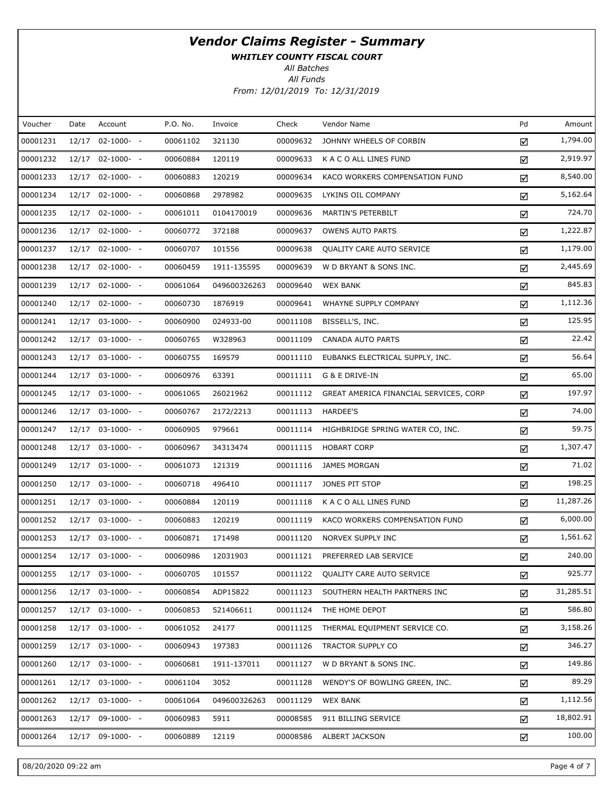WHITLEY COUNTY FISCAL COURT

All Batches

| Voucher  | Date  | Account          | P.O. No. | Invoice      | Check    | Vendor Name                            | Pd | Amount    |
|----------|-------|------------------|----------|--------------|----------|----------------------------------------|----|-----------|
| 00001231 | 12/17 | $02-1000- -$     | 00061102 | 321130       | 00009632 | JOHNNY WHEELS OF CORBIN                | ☑  | 1,794.00  |
| 00001232 |       | 12/17 02-1000- - | 00060884 | 120119       | 00009633 | K A C O ALL LINES FUND                 | ☑  | 2,919.97  |
| 00001233 |       | 12/17 02-1000- - | 00060883 | 120219       | 00009634 | KACO WORKERS COMPENSATION FUND         | ☑  | 8,540.00  |
| 00001234 |       | 12/17 02-1000- - | 00060868 | 2978982      | 00009635 | LYKINS OIL COMPANY                     | ☑  | 5,162.64  |
| 00001235 |       | 12/17 02-1000- - | 00061011 | 0104170019   | 00009636 | MARTIN'S PETERBILT                     | ☑  | 724.70    |
| 00001236 |       | 12/17 02-1000- - | 00060772 | 372188       | 00009637 | <b>OWENS AUTO PARTS</b>                | ☑  | 1,222.87  |
| 00001237 |       | 12/17 02-1000- - | 00060707 | 101556       | 00009638 | QUALITY CARE AUTO SERVICE              | ☑  | 1,179.00  |
| 00001238 |       | 12/17 02-1000- - | 00060459 | 1911-135595  | 00009639 | W D BRYANT & SONS INC.                 | ☑  | 2,445.69  |
| 00001239 |       | 12/17 02-1000- - | 00061064 | 049600326263 | 00009640 | <b>WEX BANK</b>                        | ☑  | 845.83    |
| 00001240 |       | 12/17 02-1000- - | 00060730 | 1876919      | 00009641 | WHAYNE SUPPLY COMPANY                  | ☑  | 1,112.36  |
| 00001241 |       | 12/17 03-1000- - | 00060900 | 024933-00    | 00011108 | BISSELL'S, INC.                        | ☑  | 125.95    |
| 00001242 |       | 12/17 03-1000- - | 00060765 | W328963      | 00011109 | CANADA AUTO PARTS                      | ☑  | 22.42     |
| 00001243 |       | 12/17 03-1000- - | 00060755 | 169579       | 00011110 | EUBANKS ELECTRICAL SUPPLY, INC.        | ☑  | 56.64     |
| 00001244 |       | 12/17 03-1000- - | 00060976 | 63391        | 00011111 | G & E DRIVE-IN                         | ☑  | 65.00     |
| 00001245 |       | 12/17 03-1000- - | 00061065 | 26021962     | 00011112 | GREAT AMERICA FINANCIAL SERVICES, CORP | ☑  | 197.97    |
| 00001246 |       | 12/17 03-1000- - | 00060767 | 2172/2213    | 00011113 | HARDEE'S                               | ☑  | 74.00     |
| 00001247 |       | 12/17 03-1000- - | 00060905 | 979661       | 00011114 | HIGHBRIDGE SPRING WATER CO, INC.       | ☑  | 59.75     |
| 00001248 |       | 12/17 03-1000- - | 00060967 | 34313474     | 00011115 | <b>HOBART CORP</b>                     | ☑  | 1,307.47  |
| 00001249 |       | 12/17 03-1000- - | 00061073 | 121319       | 00011116 | <b>JAMES MORGAN</b>                    | ☑  | 71.02     |
| 00001250 |       | 12/17 03-1000- - | 00060718 | 496410       | 00011117 | JONES PIT STOP                         | ☑  | 198.25    |
| 00001251 |       | 12/17 03-1000- - | 00060884 | 120119       | 00011118 | K A C O ALL LINES FUND                 | ☑  | 11,287.26 |
| 00001252 |       | 12/17 03-1000- - | 00060883 | 120219       | 00011119 | KACO WORKERS COMPENSATION FUND         | ☑  | 6,000.00  |
| 00001253 |       | 12/17 03-1000- - | 00060871 | 171498       | 00011120 | NORVEX SUPPLY INC                      | ☑  | 1,561.62  |
| 00001254 |       | 12/17 03-1000- - | 00060986 | 12031903     | 00011121 | PREFERRED LAB SERVICE                  | ☑  | 240.00    |
| 00001255 |       | 12/17 03-1000- - | 00060705 | 101557       | 00011122 | QUALITY CARE AUTO SERVICE              | ☑  | 925.77    |
| 00001256 |       | 12/17 03-1000- - | 00060854 | ADP15822     | 00011123 | SOUTHERN HEALTH PARTNERS INC           | ☑  | 31,285.51 |
| 00001257 |       | 12/17 03-1000- - | 00060853 | 521406611    | 00011124 | THE HOME DEPOT                         | ☑  | 586.80    |
| 00001258 |       | 12/17 03-1000- - | 00061052 | 24177        | 00011125 | THERMAL EQUIPMENT SERVICE CO.          | ☑  | 3,158.26  |
| 00001259 |       | 12/17 03-1000- - | 00060943 | 197383       | 00011126 | <b>TRACTOR SUPPLY CO</b>               | ☑  | 346.27    |
| 00001260 |       | 12/17 03-1000- - | 00060681 | 1911-137011  | 00011127 | W D BRYANT & SONS INC.                 | ☑  | 149.86    |
| 00001261 |       | 12/17 03-1000- - | 00061104 | 3052         | 00011128 | WENDY'S OF BOWLING GREEN, INC.         | ☑  | 89.29     |
| 00001262 |       | 12/17 03-1000- - | 00061064 | 049600326263 | 00011129 | <b>WEX BANK</b>                        | ☑  | 1,112.56  |
| 00001263 |       | 12/17 09-1000- - | 00060983 | 5911         | 00008585 | 911 BILLING SERVICE                    | ☑  | 18,802.91 |
| 00001264 |       | 12/17 09-1000- - | 00060889 | 12119        | 00008586 | ALBERT JACKSON                         | ☑  | 100.00    |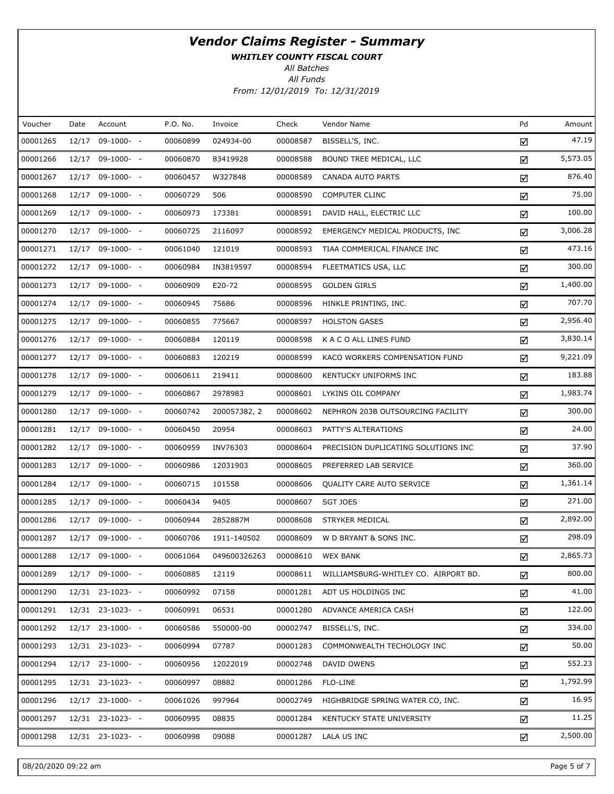WHITLEY COUNTY FISCAL COURT

All Batches

| Voucher  | Date | Account          | P.O. No. | Invoice      | Check    | Vendor Name                          | Pd | Amount   |
|----------|------|------------------|----------|--------------|----------|--------------------------------------|----|----------|
| 00001265 |      | 12/17 09-1000- - | 00060899 | 024934-00    | 00008587 | BISSELL'S, INC.                      | ☑  | 47.19    |
| 00001266 |      | 12/17 09-1000- - | 00060870 | 83419928     | 00008588 | BOUND TREE MEDICAL, LLC              | ☑  | 5,573.05 |
| 00001267 |      | 12/17 09-1000- - | 00060457 | W327848      | 00008589 | CANADA AUTO PARTS                    | ☑  | 876.40   |
| 00001268 |      | 12/17 09-1000- - | 00060729 | 506          | 00008590 | <b>COMPUTER CLINC</b>                | ☑  | 75.00    |
| 00001269 |      | 12/17 09-1000- - | 00060973 | 173381       | 00008591 | DAVID HALL, ELECTRIC LLC             | ☑  | 100.00   |
| 00001270 |      | 12/17 09-1000- - | 00060725 | 2116097      | 00008592 | EMERGENCY MEDICAL PRODUCTS, INC      | ☑  | 3,006.28 |
| 00001271 |      | 12/17 09-1000- - | 00061040 | 121019       | 00008593 | TIAA COMMERICAL FINANCE INC          | ☑  | 473.16   |
| 00001272 |      | 12/17 09-1000- - | 00060984 | IN3819597    | 00008594 | FLEETMATICS USA, LLC                 | ☑  | 300.00   |
| 00001273 |      | 12/17 09-1000- - | 00060909 | E20-72       | 00008595 | <b>GOLDEN GIRLS</b>                  | ☑  | 1,400.00 |
| 00001274 |      | 12/17 09-1000- - | 00060945 | 75686        | 00008596 | HINKLE PRINTING, INC.                | ☑  | 707.70   |
| 00001275 |      | 12/17 09-1000- - | 00060855 | 775667       | 00008597 | <b>HOLSTON GASES</b>                 | ☑  | 2,956.40 |
| 00001276 |      | 12/17 09-1000- - | 00060884 | 120119       | 00008598 | K A C O ALL LINES FUND               | ☑  | 3,830.14 |
| 00001277 |      | 12/17 09-1000- - | 00060883 | 120219       | 00008599 | KACO WORKERS COMPENSATION FUND       | ☑  | 9,221.09 |
| 00001278 |      | 12/17 09-1000- - | 00060611 | 219411       | 00008600 | KENTUCKY UNIFORMS INC                | ☑  | 183.88   |
| 00001279 |      | 12/17 09-1000- - | 00060867 | 2978983      | 00008601 | LYKINS OIL COMPANY                   | ☑  | 1,983.74 |
| 00001280 |      | 12/17 09-1000- - | 00060742 | 200057382, 2 | 00008602 | NEPHRON 203B OUTSOURCING FACILITY    | ☑  | 300.00   |
| 00001281 |      | 12/17 09-1000- - | 00060450 | 20954        | 00008603 | PATTY'S ALTERATIONS                  | ☑  | 24.00    |
| 00001282 |      | 12/17 09-1000- - | 00060959 | INV76303     | 00008604 | PRECISION DUPLICATING SOLUTIONS INC  | ☑  | 37.90    |
| 00001283 |      | 12/17 09-1000- - | 00060986 | 12031903     | 00008605 | PREFERRED LAB SERVICE                | ☑  | 360.00   |
| 00001284 |      | 12/17 09-1000- - | 00060715 | 101558       | 00008606 | QUALITY CARE AUTO SERVICE            | ☑  | 1,361.14 |
| 00001285 |      | 12/17 09-1000- - | 00060434 | 9405         | 00008607 | <b>SGT JOES</b>                      | ☑  | 271.00   |
| 00001286 |      | 12/17 09-1000- - | 00060944 | 2852887M     | 00008608 | STRYKER MEDICAL                      | ☑  | 2,892.00 |
| 00001287 |      | 12/17 09-1000- - | 00060706 | 1911-140502  | 00008609 | W D BRYANT & SONS INC.               | ☑  | 298.09   |
| 00001288 |      | 12/17 09-1000- - | 00061064 | 049600326263 | 00008610 | <b>WEX BANK</b>                      | ☑  | 2,865.73 |
| 00001289 |      | 12/17 09-1000- - | 00060885 | 12119        | 00008611 | WILLIAMSBURG-WHITLEY CO. AIRPORT BD. | ☑  | 800.00   |
| 00001290 |      | 12/31 23-1023- - | 00060992 | 07158        | 00001281 | ADT US HOLDINGS INC                  | ☑  | 41.00    |
| 00001291 |      | 12/31 23-1023- - | 00060991 | 06531        | 00001280 | ADVANCE AMERICA CASH                 | ☑  | 122.00   |
| 00001292 |      | 12/17 23-1000- - | 00060586 | 550000-00    | 00002747 | BISSELL'S, INC.                      | ☑  | 334.00   |
| 00001293 |      | 12/31 23-1023- - | 00060994 | 07787        | 00001283 | COMMONWEALTH TECHOLOGY INC           | ☑  | 50.00    |
| 00001294 |      | 12/17 23-1000- - | 00060956 | 12022019     | 00002748 | DAVID OWENS                          | ☑  | 552.23   |
| 00001295 |      | 12/31 23-1023- - | 00060997 | 08882        | 00001286 | FLO-LINE                             | ☑  | 1,792.99 |
| 00001296 |      | 12/17 23-1000- - | 00061026 | 997964       | 00002749 | HIGHBRIDGE SPRING WATER CO, INC.     | ☑  | 16.95    |
| 00001297 |      | 12/31 23-1023- - | 00060995 | 08835        | 00001284 | KENTUCKY STATE UNIVERSITY            | ☑  | 11.25    |
| 00001298 |      | 12/31 23-1023- - | 00060998 | 09088        | 00001287 | LALA US INC                          | ☑  | 2,500.00 |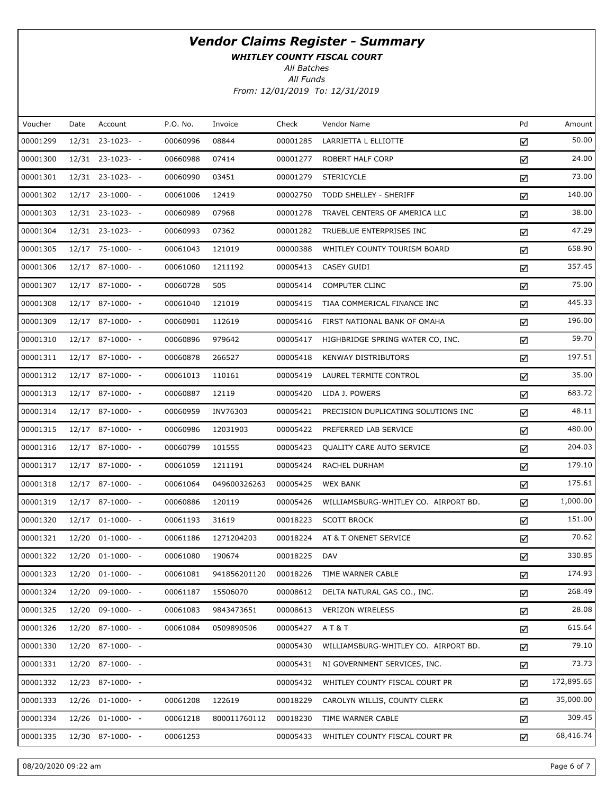WHITLEY COUNTY FISCAL COURT

All Batches

| Voucher  | Date | Account          | P.O. No. | Invoice      | Check    | Vendor Name                          | Pd | Amount     |
|----------|------|------------------|----------|--------------|----------|--------------------------------------|----|------------|
| 00001299 |      | 12/31 23-1023- - | 00060996 | 08844        | 00001285 | LARRIETTA L ELLIOTTE                 | ☑  | 50.00      |
| 00001300 |      | 12/31 23-1023- - | 00660988 | 07414        | 00001277 | ROBERT HALF CORP                     | ☑  | 24.00      |
| 00001301 |      | 12/31 23-1023- - | 00060990 | 03451        | 00001279 | <b>STERICYCLE</b>                    | ☑  | 73.00      |
| 00001302 |      | 12/17 23-1000- - | 00061006 | 12419        | 00002750 | TODD SHELLEY - SHERIFF               | ☑  | 140.00     |
| 00001303 |      | 12/31 23-1023- - | 00060989 | 07968        | 00001278 | TRAVEL CENTERS OF AMERICA LLC        | ☑  | 38.00      |
| 00001304 |      | 12/31 23-1023- - | 00060993 | 07362        | 00001282 | TRUEBLUE ENTERPRISES INC             | ☑  | 47.29      |
| 00001305 |      | 12/17 75-1000- - | 00061043 | 121019       | 00000388 | WHITLEY COUNTY TOURISM BOARD         | ☑  | 658.90     |
| 00001306 |      | 12/17 87-1000- - | 00061060 | 1211192      | 00005413 | CASEY GUIDI                          | ☑  | 357.45     |
| 00001307 |      | 12/17 87-1000- - | 00060728 | 505          | 00005414 | COMPUTER CLINC                       | ☑  | 75.00      |
| 00001308 |      | 12/17 87-1000- - | 00061040 | 121019       | 00005415 | TIAA COMMERICAL FINANCE INC          | ☑  | 445.33     |
| 00001309 |      | 12/17 87-1000- - | 00060901 | 112619       | 00005416 | FIRST NATIONAL BANK OF OMAHA         | ☑  | 196.00     |
| 00001310 |      | 12/17 87-1000- - | 00060896 | 979642       | 00005417 | HIGHBRIDGE SPRING WATER CO, INC.     | ☑  | 59.70      |
| 00001311 |      | 12/17 87-1000- - | 00060878 | 266527       | 00005418 | <b>KENWAY DISTRIBUTORS</b>           | ☑  | 197.51     |
| 00001312 |      | 12/17 87-1000- - | 00061013 | 110161       | 00005419 | LAUREL TERMITE CONTROL               | ☑  | 35.00      |
| 00001313 |      | 12/17 87-1000- - | 00060887 | 12119        | 00005420 | LIDA J. POWERS                       | ☑  | 683.72     |
| 00001314 |      | 12/17 87-1000- - | 00060959 | INV76303     | 00005421 | PRECISION DUPLICATING SOLUTIONS INC  | ☑  | 48.11      |
| 00001315 |      | 12/17 87-1000- - | 00060986 | 12031903     | 00005422 | PREFERRED LAB SERVICE                | ☑  | 480.00     |
| 00001316 |      | 12/17 87-1000- - | 00060799 | 101555       | 00005423 | QUALITY CARE AUTO SERVICE            | ☑  | 204.03     |
| 00001317 |      | 12/17 87-1000- - | 00061059 | 1211191      | 00005424 | RACHEL DURHAM                        | ☑  | 179.10     |
| 00001318 |      | 12/17 87-1000- - | 00061064 | 049600326263 | 00005425 | <b>WEX BANK</b>                      | ☑  | 175.61     |
| 00001319 |      | 12/17 87-1000- - | 00060886 | 120119       | 00005426 | WILLIAMSBURG-WHITLEY CO. AIRPORT BD. | ☑  | 1,000.00   |
| 00001320 |      | 12/17 01-1000- - | 00061193 | 31619        | 00018223 | <b>SCOTT BROCK</b>                   | ☑  | 151.00     |
| 00001321 |      | 12/20 01-1000- - | 00061186 | 1271204203   | 00018224 | AT & T ONENET SERVICE                | ☑  | 70.62      |
| 00001322 |      | 12/20 01-1000- - | 00061080 | 190674       | 00018225 | <b>DAV</b>                           | ☑  | 330.85     |
| 00001323 |      | 12/20 01-1000- - | 00061081 | 941856201120 | 00018226 | TIME WARNER CABLE                    | ☑  | 174.93     |
| 00001324 |      | 12/20 09-1000- - | 00061187 | 15506070     | 00008612 | DELTA NATURAL GAS CO., INC.          | ☑  | 268.49     |
| 00001325 |      | 12/20 09-1000- - | 00061083 | 9843473651   | 00008613 | <b>VERIZON WIRELESS</b>              | ☑  | 28.08      |
| 00001326 |      | 12/20 87-1000- - | 00061084 | 0509890506   | 00005427 | AT&T                                 | ☑  | 615.64     |
| 00001330 |      | 12/20 87-1000- - |          |              | 00005430 | WILLIAMSBURG-WHITLEY CO. AIRPORT BD. | ☑  | 79.10      |
| 00001331 |      | 12/20 87-1000- - |          |              | 00005431 | NI GOVERNMENT SERVICES, INC.         | ☑  | 73.73      |
| 00001332 |      | 12/23 87-1000- - |          |              | 00005432 | WHITLEY COUNTY FISCAL COURT PR       | ☑  | 172,895.65 |
| 00001333 |      | 12/26 01-1000- - | 00061208 | 122619       | 00018229 | CAROLYN WILLIS, COUNTY CLERK         | ☑  | 35,000.00  |
| 00001334 |      | 12/26 01-1000- - | 00061218 | 800011760112 | 00018230 | TIME WARNER CABLE                    | ☑  | 309.45     |
| 00001335 |      | 12/30 87-1000- - | 00061253 |              | 00005433 | WHITLEY COUNTY FISCAL COURT PR       | ☑  | 68,416.74  |